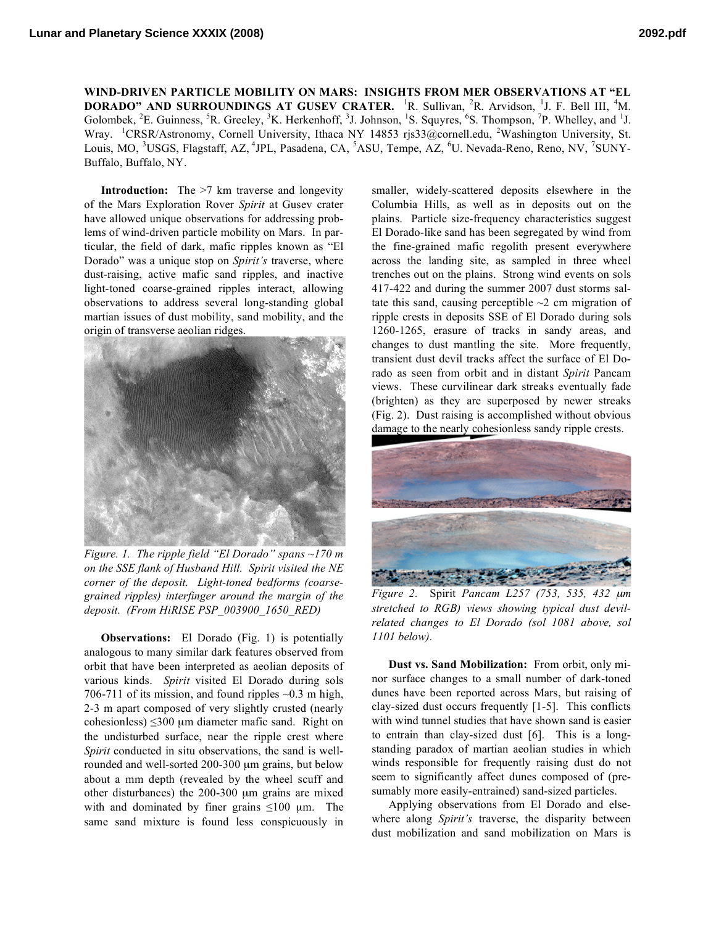**WIND-DRIVEN PARTICLE MOBILITY ON MARS: INSIGHTS FROM MER OBSERVATIONS AT "EL DORADO" AND SURROUNDINGS AT GUSEV CRATER.** <sup>1</sup> R. Sullivan, <sup>2</sup> R. Arvidson, <sup>1</sup> J. F. Bell III, <sup>4</sup> M. Golombek,  ${}^{2}E$ . Guinness,  ${}^{5}R$ . Greeley,  ${}^{3}K$ . Herkenhoff,  ${}^{3}J$ . Johnson,  ${}^{1}S$ . Squyres,  ${}^{6}S$ . Thompson,  ${}^{7}P$ . Whelley, and  ${}^{1}J$ . Wray. <sup>1</sup>CRSR/Astronomy, Cornell University, Ithaca NY 14853 rjs33@cornell.edu, <sup>2</sup>Washington University, St. Louis, MO, <sup>3</sup>USGS, Flagstaff, AZ, <sup>4</sup>JPL, Pasadena, CA, <sup>5</sup>ASU, Tempe, AZ, <sup>6</sup>U. Nevada-Reno, Reno, NV, <sup>7</sup>SUNY-Buffalo, Buffalo, NY.

**Introduction:** The >7 km traverse and longevity of the Mars Exploration Rover *Spirit* at Gusev crater have allowed unique observations for addressing problems of wind-driven particle mobility on Mars. In particular, the field of dark, mafic ripples known as "El Dorado" was a unique stop on *Spirit's* traverse, where dust-raising, active mafic sand ripples, and inactive light-toned coarse-grained ripples interact, allowing observations to address several long-standing global martian issues of dust mobility, sand mobility, and the origin of transverse aeolian ridges.



*Figure. 1. The ripple field "El Dorado" spans ~170 m on the SSE flank of Husband Hill. Spirit visited the NE corner of the deposit. Light-toned bedforms (coarsegrained ripples) interfinger around the margin of the deposit. (From HiRISE PSP\_003900\_1650\_RED)*

**Observations:** El Dorado (Fig. 1) is potentially analogous to many similar dark features observed from orbit that have been interpreted as aeolian deposits of various kinds. *Spirit* visited El Dorado during sols 706-711 of its mission, and found ripples  $\sim 0.3$  m high, 2-3 m apart composed of very slightly crusted (nearly cohesionless)  $\leq 300 \mu m$  diameter mafic sand. Right on the undisturbed surface, near the ripple crest where *Spirit* conducted in situ observations, the sand is wellrounded and well-sorted 200-300 µm grains, but below about a mm depth (revealed by the wheel scuff and other disturbances) the 200-300 µm grains are mixed with and dominated by finer grains  $\leq 100$  µm. The same sand mixture is found less conspicuously in

smaller, widely-scattered deposits elsewhere in the Columbia Hills, as well as in deposits out on the plains. Particle size-frequency characteristics suggest El Dorado-like sand has been segregated by wind from the fine-grained mafic regolith present everywhere across the landing site, as sampled in three wheel trenches out on the plains. Strong wind events on sols 417-422 and during the summer 2007 dust storms saltate this sand, causing perceptible  $\sim$ 2 cm migration of ripple crests in deposits SSE of El Dorado during sols 1260-1265, erasure of tracks in sandy areas, and changes to dust mantling the site. More frequently, transient dust devil tracks affect the surface of El Dorado as seen from orbit and in distant *Spirit* Pancam views. These curvilinear dark streaks eventually fade (brighten) as they are superposed by newer streaks (Fig. 2). Dust raising is accomplished without obvious damage to the nearly cohesionless sandy ripple crests.



*Figure 2.* Spirit *Pancam L257 (753, 535, 432* <sup>µ</sup>*m stretched to RGB) views showing typical dust devilrelated changes to El Dorado (sol 1081 above, sol 1101 below).*

**Dust vs. Sand Mobilization:** From orbit, only minor surface changes to a small number of dark-toned dunes have been reported across Mars, but raising of clay-sized dust occurs frequently [1-5]. This conflicts with wind tunnel studies that have shown sand is easier to entrain than clay-sized dust [6]. This is a longstanding paradox of martian aeolian studies in which winds responsible for frequently raising dust do not seem to significantly affect dunes composed of (presumably more easily-entrained) sand-sized particles.

Applying observations from El Dorado and elsewhere along *Spirit's* traverse, the disparity between dust mobilization and sand mobilization on Mars is